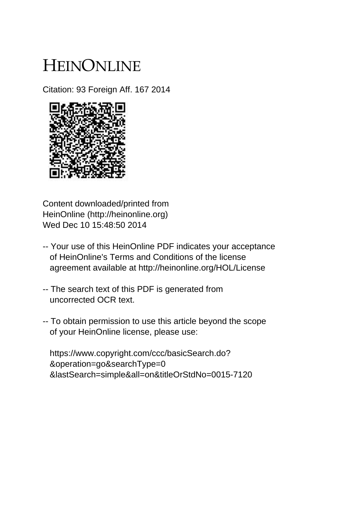# HEINONLINE

Citation: 93 Foreign Aff. 167 2014



Content downloaded/printed from HeinOnline (http://heinonline.org) Wed Dec 10 15:48:50 2014

- -- Your use of this HeinOnline PDF indicates your acceptance of HeinOnline's Terms and Conditions of the license agreement available at http://heinonline.org/HOL/License
- -- The search text of this PDF is generated from uncorrected OCR text.
- -- To obtain permission to use this article beyond the scope of your HeinOnline license, please use:

 https://www.copyright.com/ccc/basicSearch.do? &operation=go&searchType=0 &lastSearch=simple&all=on&titleOrStdNo=0015-7120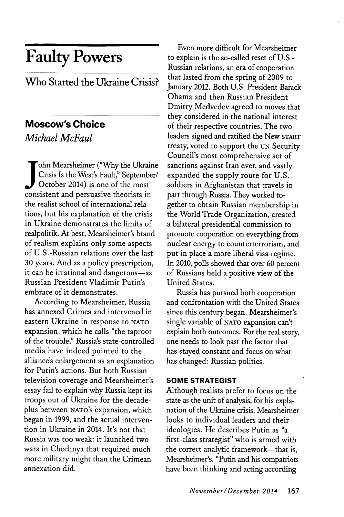# **Faulty Powers**

Who Started the Ukraine Crisis?

# **Moscow's Choice**

*Michael McFaul*

 $\sqrt{\ }$ ohn Mearsheimer ("Why the Ukraine Crisis Is the West's Fault," September/ October 2014) is one of the most consistent and persuasive theorists in the realist school of international relations, but his explanation of the crisis in Ukraine demonstrates the limits of realpolitik. At best, Mearsheimer's brand of realism explains only some aspects of U.S.-Russian relations over the last **30** years. And as a policy prescription, it can be irrational and dangerous-as Russian President Vladimir Putin's embrace of it demonstrates.

According to Mearsheimer, Russia has annexed Crimea and intervened in eastern Ukraine in response to **NATO** expansion, which he calls "the taproot of the trouble." Russia's state-controlled media have indeed pointed to the alliance's enlargement as an explanation for Putin's actions. But both Russian television coverage and Mearsheimer's essay fail to explain why Russia kept its troops out of Ukraine for the decadeplus between **NATO's** expansion, which began in **1999,** and the actual intervention in Ukraine in 2014. It's not that Russia was too weak: it launched two wars in Chechnya that required much more military might than the Crimean annexation did.

Even more difficult for Mearsheimer to explain is the so-called reset of **U.S.-** Russian relations, an era of cooperation that lasted from the spring of **2009** to January 2012. Both **U.S.** President Barack Obama and then Russian President Dmitry Medvedev agreed to moves that they considered in the national interest of their respective countries. The two leaders signed and ratified the New **sTART** treaty, voted to support the **UN** Security Council's most comprehensive set of sanctions against Iran ever, and vastly expanded the supply route for **U.S.** soldiers in Afghanistan that travels in part through Russia. They worked together to obtain Russian membership in the World Trade Organization, created a bilateral presidential commission to promote cooperation on everything from nuclear energy to counterterrorism, and put in place a more liberal visa regime. In 2010, polls showed that over **60** percent of Russians held a positive view of the United States.

Russia has pursued both cooperation and confrontation with the United States since this century began. Mearsheimer's single variable of **NATO** expansion can't explain both outcomes. For the real story, one needs to look past the factor that has stayed constant and focus on what has changed: Russian politics.

### **SOME STRATEGIST**

Although realists prefer to focus on the state as the unit of analysis, for his explanation of the Ukraine crisis, Mearsheimer looks to individual leaders and their ideologies. He describes Putin as "a first-class strategist" who is armed with the correct analytic framework-that is, Mearsheimer's. "Putin and his compatriots have been thinking and acting according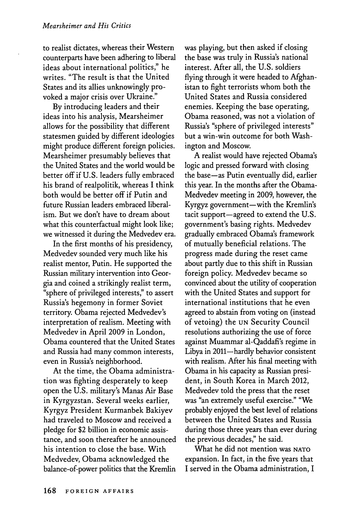to realist dictates, whereas their Western counterparts have been adhering to liberal ideas about international politics," he writes. "The result is that the United States and its allies unknowingly provoked a major crisis over Ukraine."

**By** introducing leaders and their ideas into his analysis, Mearsheimer allows for the possibility that different statesmen guided **by** different ideologies might produce different foreign policies. Mearsheimer presumably believes that the United States and the world would be better **off** if **U.S.** leaders fully embraced his brand of realpolitik, whereas I think both would be better off if Putin and future Russian leaders embraced liberalism. But we don't have to dream about what this counterfactual might look like; we witnessed it during the Medvedev era.

In the first months of his presidency, Medvedev sounded very much like his realist mentor, Putin. He supported the Russian military intervention into Georgia and coined a strikingly realist term, "sphere of privileged interests," to assert Russia's hegemony in former Soviet territory. Obama rejected Medvedev's interpretation of realism. Meeting with Medvedev in April **2009** in London, Obama countered that the United States and Russia had many common interests, even in Russia's neighborhood.

At the time, the Obama administration was fighting desperately to keep open the **U.S.** military's Manas Air Base in Kyrgyzstan. Several weeks earlier, Kyrgyz President Kurmanbek Bakiyev had traveled to Moscow and received a pledge for \$2 billion in economic assistance, and soon thereafter he announced his intention to close the base. With Medvedev, Obama acknowledged the balance-of-power politics that the Kremlin

was playing, but then asked if closing the base was truly in Russia's national interest. After all, the **U.S.** soldiers flying through it were headed to Afghanistan to fight terrorists whom both the United States and Russia considered enemies. Keeping the base operating, Obama reasoned, was not a violation of Russia's "sphere of privileged interests" but a win-win outcome for both Washington and Moscow.

**A** realist would have rejected Obama's logic and pressed forward with closing the base-as Putin eventually did, earlier this year. In the months after the Obama-Medvedev meeting in **2009,** however, the Kyrgyz government-with the Kremlin's tacit support-agreed to extend the **U.S.** government's basing rights. Medvedev gradually embraced Obama's framework of mutually beneficial relations. The progress made during the reset came about partly due to this shift in Russian foreign policy. Medvedev became so convinced about the utility of cooperation with the United States and support for international institutions that he even agreed to abstain from voting on (instead of vetoing) the **UN** Security Council resolutions authorizing the use of force against Muammar al-Qaddafi's regime in Libya in 2011-hardly behavior consistent with realism. After his final meeting with Obama in his capacity as Russian president, in South Korea in March 2012, Medvedev told the press that the reset was "an extremely useful exercise." "We probably enjoyed the best level of relations between the United States and Russia during those three years than ever during the previous decades," he said.

What he did not mention was **NATO** expansion. In fact, in the five years that I served in the Obama administration, I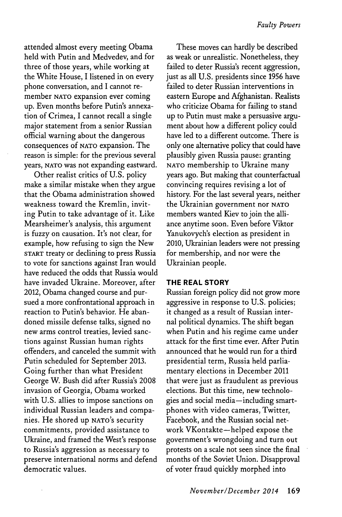attended almost every meeting Obama held with Putin and Medvedev, and for three of those years, while working at the White House, I listened in on every phone conversation, and **I** cannot remember **NATO** expansion ever coming up. Even months before Putin's annexation of Crimea, **I** cannot recall a single major statement from a senior Russian official warning about the dangerous consequences of **NATO** expansion. The reason is simple: for the previous several years, **NATO** was not expanding eastward.

Other realist critics of **U.S.** policy make a similar mistake when they argue that the Obama administration showed weakness toward the Kremlin, inviting Putin to take advantage of it. Like Mearsheimer's analysis, this argument is fuzzy on causation. It's not clear, for example, how refusing to sign the New **START** treaty or declining to press Russia to vote for sanctions against Iran would have reduced the odds that Russia would have invaded Ukraine. Moreover, after 2012, Obama changed course and pursued a more confrontational approach in reaction to Putin's behavior. He abandoned missile defense talks, signed no new arms control treaties, levied sanctions against Russian human rights offenders, and canceled the summit with Putin scheduled for September **2013.** Going further than what President George W. Bush did after Russia's **2008** invasion of Georgia, Obama worked with **U.S.** allies to impose sanctions on individual Russian leaders and companies. He shored **up NATO's** security commitments, provided assistance to Ukraine, and framed the West's response to Russia's aggression as necessary to preserve international norms and defend democratic values.

These moves can hardly be described as weak or unrealistic. Nonetheless, they failed to deter Russia's recent aggression, just as all **U.S.** presidents since **1956** have failed to deter Russian interventions in eastern Europe and Afghanistan. Realists who criticize Obama for failing to stand up to Putin must make a persuasive argument about how a different policy could have led to a different outcome. There is only one alternative policy that could have plausibly given Russia pause: granting **NATO** membership to Ukraine many years ago. But making that counterfactual convincing requires revising a lot of history. For the last several years, neither the Ukrainian government nor **NATO** members wanted Kiev to join the alliance anytime soon. Even before Viktor Yanukovych's election as president in 2010, Ukrainian leaders were not pressing for membership, and nor were the Ukrainian people.

### **THE REAL STORY**

Russian foreign policy did not grow more aggressive in response to **U.S.** policies; it changed as a result of Russian internal political dynamics. The shift began when Putin and his regime came under attack for the first time ever. After Putin announced that he would run for a third presidential term, Russia held parliamentary elections in December 2011 that were just as fraudulent as previous elections. But this time, new technologies and social media-including smartphones with video cameras, Twitter, Facebook, and the Russian social network VKontakte-helped expose the government's wrongdoing and turn out protests on a scale not seen since the final months of the Soviet Union. Disapproval of voter fraud quickly morphed into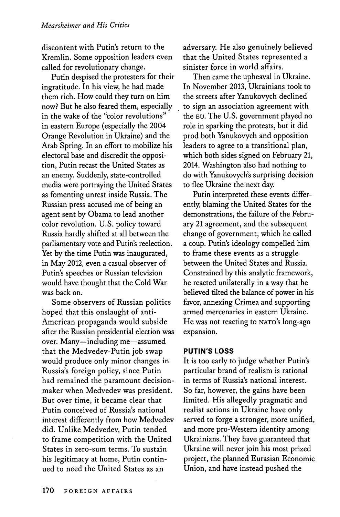discontent with Putin's return to the Kremlin. Some opposition leaders even called for revolutionary change.

Putin despised the protesters for their ingratitude. In his view, he had made them rich. How could they turn on him now? But he also feared them, especially in the wake of the "color revolutions" in eastern Europe (especially the 2004 Orange Revolution in Ukraine) and the Arab Spring. In an effort to mobilize his electoral base and discredit the opposition, Putin recast the United States as an enemy. Suddenly, state-controlled media were portraying the United States as fomenting unrest inside Russia. The Russian press accused me of being an agent sent **by** Obama to lead another color revolution. **U.S.** policy toward Russia hardly shifted at all between the parliamentary vote and Putin's reelection. Yet **by** the time Putin was inaugurated, in May 2012, even a casual observer of Putin's speeches or Russian television would have thought that the Cold War was back on.

Some observers of Russian politics hoped that this onslaught of anti-American propaganda would subside after the Russian presidential election was over. Many-including me-assumed that the Medvedev-Putin **job** swap would produce only minor changes in Russia's foreign policy, since Putin had remained the paramount decisionmaker when Medvedev was president. But over time, it became clear that Putin conceived of Russia's national interest differently from how Medvedev did. Unlike Medvedev, Putin tended to frame competition with the United States in zero-sum terms. To sustain his legitimacy at home, Putin continued to need the United States as an

adversary. He also genuinely believed that the United States represented a sinister force in world affairs.

Then came the upheaval in Ukraine. In November **2013,** Ukrainians took to the streets after Yanukovych declined to sign an association agreement with the **EU.** The **U.S.** government played no role in sparking the protests, but it did prod both Yanukovych and opposition leaders to agree to a transitional plan, which both sides signed on February 21, 2014. Washington also had nothing to do with Yanukovych's surprising decision to flee Ukraine the next day.

Putin interpreted these events differently, blaming the United States for the demonstrations, the failure of the February 21 agreement, and the subsequent change of government, which he called a coup. Putin's ideology compelled him to frame these events as a struggle between the United States and Russia. Constrained **by** this analytic framework, he reacted unilaterally in a way that he believed tilted the balance of power in his favor, annexing Crimea and supporting armed mercenaries in eastern Ukraine. He was not reacting to **NATo's** long-ago expansion.

### **PUTIN'S LOSS**

It is too early to judge whether Putin's particular brand of realism is rational in terms of Russia's national interest. So far, however, the gains have been limited. His allegedly pragmatic and realist actions in Ukraine have only served to forge a stronger, more unified, and more pro-Western identity among Ukrainians. They have guaranteed that Ukraine will never join his most prized project, the planned Eurasian Economic Union, and have instead pushed the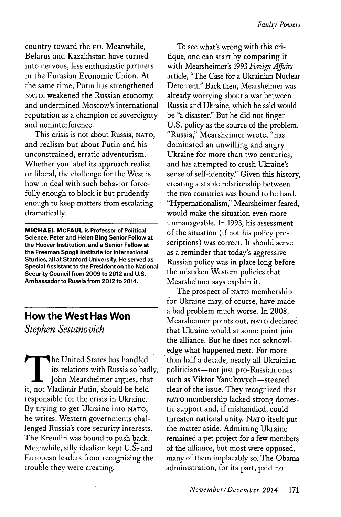country toward the **EU.** Meanwhile, Belarus and Kazakhstan have turned into nervous, less enthusiastic partners in the Eurasian Economic Union. At the same time, Putin has strengthened **NATO,** weakened the Russian economy, and undermined Moscow's international reputation as a champion of sovereignty and noninterference.

This crisis is not about Russia, **NATO,** and realism but about Putin and his unconstrained, erratic adventurism. Whether you label its approach realist or liberal, the challenge for the West is how to deal with such behavior forcefully enough to block it but prudently enough to keep matters from escalating dramatically.

**MICHAEL MCFAUL is Professor of Political Science, Peter and Helen Bing Senior Fellow at the Hoover Institution, and a Senior Fellow at the Freeman Spogli Institute for International Studies, all at Stanford University. He served as Special Assistant to the President on the National Security Council from 2009 to 2012 and U.S. Ambassador to Russia from 2012 to 2014.**

# **How the West Has Won** *Stephen Sestanovich*

**T** he United States has handled its relations with Russia so badly, John Mearsheimer argues, that it, not Vladimir Putin, should be held responsible for the crisis in Ukraine. **By** trying to get Ukraine into **NATO,** he writes, Western governments challenged Russia's core security interests. The Kremlin was bound to push back. Meanwhile, silly idealism kept U.S-and European leaders from recognizing the trouble they were creating.

 $\ddot{\phantom{a}}$ 

To see what's wrong with this critique, one can start **by** comparing it with Mearsheimer's **1993** *Foreign Affairs* article, "The Case for a Ukrainian Nuclear Deterrent." Back then, Mearsheimer was already worrying about a war between Russia and Ukraine, which he said would be "a disaster." But he did not finger **U.S.** policy as the source of the problem. "Russia," Mearsheimer wrote, "has dominated an unwilling and angry Ukraine for more than two centuries, and has attempted to crush Ukraine's sense of self-identity." Given this history, creating a stable relationship between the two countries was bound to be hard. "Hypernationalism," Mearsheimer feared, would make the situation even more unmanageable. In **1993,** his assessment of the situation (if not his policy prescriptions) was correct. It should serve as a reminder that today's aggressive Russian policy was in place long before the mistaken Western policies that Mearsheimer says explain **it.**

The prospect of **NATO** membership for Ukraine may, of course, have made a bad problem much worse. In **2008,** Mearsheimer points out, **NATO** declared that Ukraine would at some point join the alliance. But he does not acknowledge what happened next. For more than half a decade, nearly all Ukrainian politicians-not just pro-Russian ones such as Viktor Yanukovych-steered clear of the issue. They recognized that **NATO** membership lacked strong domestic support and, if mishandled, could threaten national unity. **NATO** itself put the matter aside. Admitting Ukraine remained a pet project for a few members of the alliance, but most were opposed, many of them implacably so. The Obama administration, for its part, paid no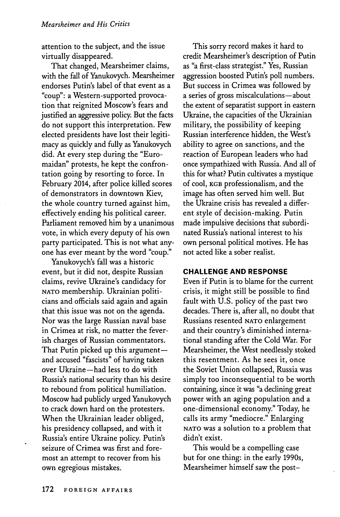attention to the subject, and the issue virtually disappeared.

That changed, Mearsheimer claims, with the fall of Yanukovych. Mearsheimer endorses Putin's label of that event as a "coup": a Western-supported provocation that reignited Moscow's fears and justified an aggressive policy. But the facts do not support this interpretation. Few elected presidents have lost their legitimacy as quickly and fully as Yanukovych did. At every step during the "Euromaidan" protests, he kept the confrontation going **by** resorting to force. In February 2014, after police killed scores of demonstrators in downtown Kiev, the whole country turned against him, effectively ending his political career. Parliament removed him **by** a unanimous vote, in which every deputy of his own party participated. This is not what anyone has ever meant **by** the word "coup."

Yanukovych's fall was a historic event, but it did not, despite Russian claims, revive Ukraine's candidacy for **NATO** membership. Ukrainian politicians and officials said again and again that this issue was not on the agenda. Nor was the large Russian naval base in Crimea at risk, no matter the feverish charges of Russian commentators. That Putin picked up this argumentand accused "fascists" of having taken over Ukraine-had less to do with Russia's national security than his desire to rebound from political humiliation. Moscow had publicly urged Yanukovych to crack down hard on the protesters. When the Ukrainian leader obliged, his presidency collapsed, and with it Russia's entire Ukraine policy. Putin's seizure of Crimea was first and foremost an attempt to recover from his own egregious mistakes.

This sorry record makes it hard to credit Mearsheimer's description of Putin as "a first-class strategist." Yes, Russian aggression boosted Putin's poll numbers. But success in Crimea was followed **by** a series of gross miscalculations—about the extent of separatist support in eastern Ukraine, the capacities of the Ukrainian military, the possibility of keeping Russian interference hidden, the West's ability to agree on sanctions, and the reaction of European leaders who had once sympathized with Russia. And all of this for what? Putin cultivates a mystique **of cool, KGB** professionalism, and the image has often served him well. But the Ukraine crisis has revealed a different style of decision-making. Putin made impulsive decisions that subordinated Russia's national interest to his own personal political motives. He has not acted like a sober realist.

### **CHALLENGE AND RESPONSE**

Even if Putin is to blame for the current crisis, it might still be possible to find fault with **U.S.** policy of the past two decades. There is, after all, no doubt that Russians resented **NATO** enlargement and their country's diminished international standing after the Cold War. For Mearsheimer, the West needlessly stoked this resentment. As he sees it, once the Soviet Union collapsed, Russia was simply too inconsequential to be worth containing, since it was "a declining great power with an aging population and a one-dimensional economy." Today, he calls its army "mediocre." Enlarging **NATO** was a solution to a problem that didn't exist.

This would be a compelling case but for one thing: in the early 1990s, Mearsheimer himself saw the post-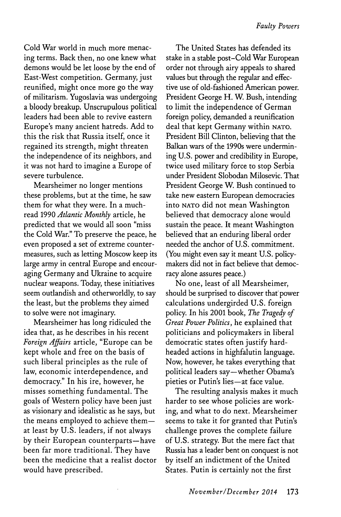Cold War world in much more menacing terms. Back then, no one knew what demons would be let loose **by** the end of East-West competition. Germany, just reunified, might once more go the way of militarism. Yugoslavia was undergoing a bloody breakup. Unscrupulous political leaders had been able to revive eastern Europe's many ancient hatreds. **Add** to this the risk that Russia itself, once it regained its strength, might threaten the independence of its neighbors, and it was not hard to imagine a Europe of severe turbulence.

Mearsheimer no longer mentions these problems, but at the time, he saw them for what they were. In a muchread **1990** *Atlantic Monthly* article, he predicted that we would all soon "miss the Cold War." To preserve the peace, he even proposed a set of extreme countermeasures, such as letting Moscow keep its large army in central Europe and encouraging Germany and Ukraine to acquire nuclear weapons. Today, these initiatives seem outlandish and otherworldly, to say the least, but the problems they aimed to solve were not imaginary.

Mearsheimer has long ridiculed the idea that, as he describes in his recent *Foreign Affairs* article, "Europe can be kept whole and free on the basis of such liberal principles as the rule of law, economic interdependence, and democracy." In his ire, however, he misses something fundamental. The goals of Western policy have been just as visionary and idealistic as he says, but the means employed to achieve themat least **by U.S.** leaders, if not always **by** their European counterparts-have been far more traditional. They have been the medicine that a realist doctor would have prescribed.

The United States has defended its stake in a stable post-Cold War European order not through airy appeals to shared values but through the regular and effective use of old-fashioned American power. President George H. W. Bush, intending to limit the independence of German foreign policy, demanded a reunification deal that kept Germany within **NATO.** President Bill Clinton, believing that the Balkan wars of the 1990s were undermining **U.S.** power and credibility in Europe, twice used military force to stop Serbia under President Slobodan Milosevic. That President George W. Bush continued to take new eastern European democracies into **NATO** did not mean Washington believed that democracy alone would sustain the peace. It meant Washington believed that an enduring liberal order needed the anchor of **U.S.** commitment. (You might even say it meant **U.S.** policymakers did not in fact believe that democracy alone assures peace.)

No one, least of all Mearsheimer, should be surprised to discover that power calculations undergirded **U.S.** foreign policy. In his 2001 book, *The Tragedy of Great Power Politics,* he explained that politicians and policymakers in liberal democratic states often justify hardheaded actions in highfalutin language. Now, however, he takes everything that political leaders say-whether Obama's pieties or Putin's lies-at face value.

The resulting analysis makes it much harder to see whose policies are working, and what to do next. Mearsheimer seems to take it for granted that Putin's challenge proves the complete failure of **U.S.** strategy. But the mere fact that Russia has a leader bent on conquest is not **by** itself an indictment of the United States. Putin is certainly not the first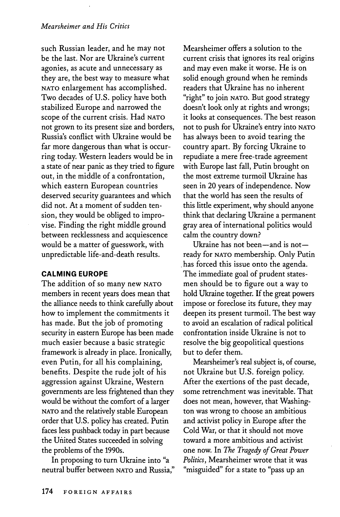such Russian leader, and he may not be the last. Nor are Ukraine's current agonies, as acute and unnecessary as they are, the best way to measure what **NATO** enlargement has accomplished. Two decades of **U.S.** policy have both stabilized Europe and narrowed the scope of the current crisis. Had **NATO** not grown to its present size and borders, Russia's conflict with Ukraine would be far more dangerous than what is occurring today. Western leaders would be in a state of near panic as they tried to figure out, in the middle of a confrontation, which eastern European countries deserved security guarantees and which did not. At a moment of sudden tension, they would be obliged to improvise. Finding the right middle ground between recklessness and acquiescence would be a matter of guesswork, with unpredictable life-and-death results.

### **CALMING EUROPE**

The addition of so many new **NATO** members in recent years does mean that the alliance needs to think carefully about how to implement the commitments it has made. But the **job** of promoting security in eastern Europe has been made much easier because a basic strategic framework is already in place. Ironically, even Putin, for all his complaining, benefits. Despite the rude jolt of his aggression against Ukraine, Western governments are less frightened than they would be without the comfort of a larger **NATO** and the relatively stable European order that **U.S.** policy has created. Putin faces less pushback today in part because the United States succeeded in solving the problems of the 1990s.

In proposing to turn Ukraine into "a neutral buffer between **NATO** and Russia,"

Mearsheimer offers a solution to the current crisis that ignores its real origins and may even make it worse. He is on solid enough ground when he reminds readers that Ukraine has no inherent "right" to join **NATO.** But good strategy doesn't look only at rights and wrongs; it looks at consequences. The best reason not to push for Ukraine's entry into **NATO** has always been to avoid tearing the country apart. **By** forcing Ukraine to repudiate a mere free-trade agreement with Europe last fall, Putin brought on the most extreme turmoil Ukraine has seen in 20 years of independence. Now that the world has seen the results of this little experiment, why should anyone think that declaring Ukraine a permanent gray area of international politics would calm the country down?

Ukraine has not been-and is notready for **NATO** membership. Only Putin has forced this issue onto the agenda. The immediate goal of prudent statesmen should be to figure out a way to hold Ukraine together. If the great powers impose or foreclose its future, they may deepen its present turmoil. The best way to avoid an escalation of radical political confrontation inside Ukraine is not to resolve the big geopolitical questions but to defer them.

Mearsheimer's real subject is, of course, not Ukraine but **U.S.** foreign policy. After the exertions of the past decade, some retrenchment was inevitable. That does not mean, however, that Washington was wrong to choose an ambitious and activist policy in Europe after the Cold War, or that it should not move toward a more ambitious and activist one now. In *The Tragedy of Great Power Politics,* Mearsheimer wrote that it was "misguided" for a state to "pass up an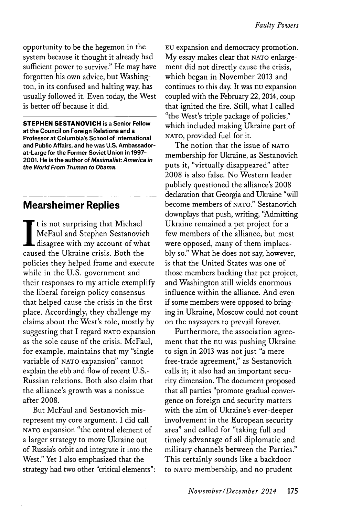opportunity to be the hegemon in the system because it thought it already had sufficient power to survive." He may have forgotten his own advice, but Washington, in its confused and halting way, has usually followed it. Even today, the West is better off because it did.

**STEPHEN SESTANOVICH is a Senior Fellow at the Council on Foreign Relations and a Professor at Columbia's School of International and Public Affairs, and he was U.S. Ambassadorat-Large for the Former Soviet Union in 1997- 2001. He is the author of Maximalist:America in the World From Truman to Obama.**

## **Mearsheimer Replies**

**It** is not surprising that Michael McFaul and Stephen Sestanovich disagree with my account of what caused the Ukraine crisis. Both the policies they helped frame and execute while in the **U.S.** government and their responses to my article exemplify the liberal foreign policy consensus that helped cause the crisis in the first place. Accordingly, they challenge my claims about the West's role, mostly **by** suggesting that **I** regard **NATO** expansion as the sole cause of the crisis. McFaul, for example, maintains that my "single variable **of NATO** expansion" cannot explain the ebb and flow of recent **U.S.-** Russian relations. Both also claim that the alliance's growth was a nonissue after **2008.**

But McFaul and Sestanovich misrepresent my core argument. I did call **NATO** expansion "the central element of a larger strategy to move Ukraine out of Russia's orbit and integrate it into the West." Yet **I** also emphasized that the strategy had two other "critical elements": **EU** expansion and democracy promotion. **My** essay makes clear that **NATO** enlargement did not directly cause the crisis, which began in November **2013** and continues to this day. It was **EU** expansion coupled with the February 22, 2014, coup that ignited the fire. Still, what I called "the West's triple package of policies," which included making Ukraine part of **NATO,** provided fuel for it.

The notion that the issue **of NATO** membership for Ukraine, as Sestanovich puts it, "virtually disappeared" after **2008** is also false. No Western leader publicly questioned the alliance's **2008** declaration that Georgia and Ukraine "will become members of **NATO."** Sestanovich downplays that push, writing, "Admitting Ukraine remained a pet project for a few members of the alliance, but most were opposed, many of them implaca**bly** so." What he does not say, however, is that the United States was one of those members backing that pet project, and Washington still wields enormous influence within the alliance. And even if some members were opposed to bringing in Ukraine, Moscow could not count on the naysayers to prevail forever.

Furthermore, the association agreement that the **EU** was pushing Ukraine to sign in **2013** was not just "a mere free-trade agreement," as Sestanovich calls it; it also had an important security dimension. The document proposed that all parties "promote gradual convergence on foreign and security matters with the aim of Ukraine's ever-deeper involvement in the European security area" and called for "taking full and timely advantage of all diplomatic and military channels between the Parties." This certainly sounds like a backdoor to **NATO** membership, and no prudent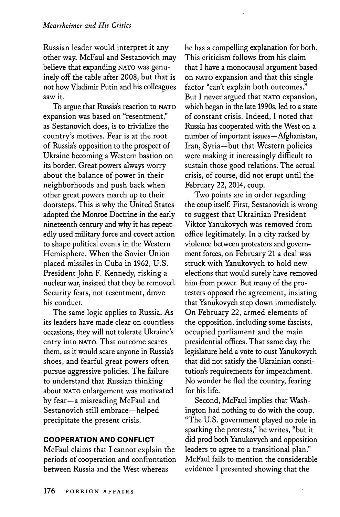Russian leader would interpret it any other way. McFaul and Sestanovich may believe that expanding **NATO** was genuinely off the table after **2008,** but that is not how Vladimir Putin and his colleagues saw it.

To argue that Russia's reaction to **NATO** expansion was based on "resentment," as Sestanovich does, is to trivialize the country's motives. Fear is at the root of Russia's opposition to the prospect of Ukraine becoming a Western bastion on its border. Great powers always worry about the balance of power in their neighborhoods and push back when other great powers march up to their doorsteps. This is why the United States adopted the Monroe Doctrine in the early nineteenth century and why it has repeatedly used military force and covert action to shape political events in the Western Hemisphere. When the Soviet Union placed missiles in Cuba in **1962, U.S.** President John F. Kennedy, risking a nuclear war, insisted that they be removed. Security fears, not resentment, drove his conduct.

The same logic applies to Russia. As its leaders have made clear on countless occasions, they will not tolerate Ukraine's entry into **NATO.** That outcome scares them, as it would scare anyone in Russia's shoes, and fearful great powers often pursue aggressive policies. The failure to understand that Russian thinking about **NATO** enlargement was motivated **by** fear-a misreading McFaul and Sestanovich still embrace-helped precipitate the present crisis.

### **COOPERATION AND CONFLICT**

McFaul claims that I cannot explain the periods of cooperation and confrontation between Russia and the West whereas

he has a compelling explanation for both. This criticism follows from his claim that **I** have a monocausal argument based on **NATO** expansion and that this single factor "can't explain both outcomes." But **I** never argued that **NATO** expansion, which began in the late 1990s, led to a state of constant crisis. Indeed, **I** noted that Russia has cooperated with the West on a number of important issues—Afghanistan, Iran, Syria-but that Western policies were making it increasingly difficult to sustain those good relations. The actual crisis, of course, did not erupt until the February 22, 2014, coup.

Two points are in order regarding the coup itself. First, Sestanovich is wrong to suggest that Ukrainian President Viktor Yanukovych was removed from office legitimately. In a city racked **by** violence between protesters and government forces, on February 21 a deal was struck with Yanukovych to hold new elections that would surely have removed him from power. But many of the protesters opposed the agreement, insisting that Yanukovych step down immediately. On February 22, armed elements of the opposition, including some fascists, occupied parliament and the main presidential offices. That same day, the legislature held a vote to oust Yanukovych that did not satisfy the Ukrainian constitution's requirements for impeachment. No wonder he fled the country, fearing for his life.

Second, McFaul implies that Washington had nothing to do with the coup. "The **U.S.** government played no role in sparking the protests," he writes, "but it did prod both Yanukovych and opposition leaders to agree to a transitional plan." McFaul fails to mention the considerable evidence I presented showing that the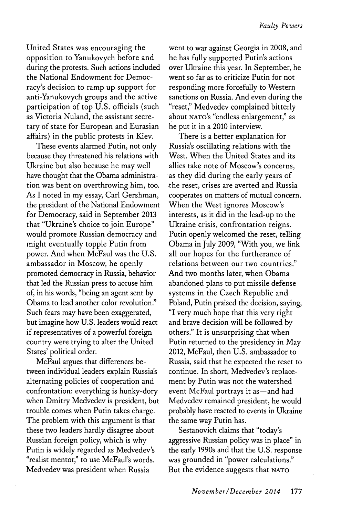United States was encouraging the opposition to Yanukovych before and during the protests. Such actions included the National Endowment for Democracy's decision to ramp up support for anti-Yanukovych groups and the active participation of top **U.S.** officials (such as Victoria Nuland, the assistant secretary of state for European and Eurasian affairs) in the public protests in Kiev.

These events alarmed Putin, not only because they threatened his relations with Ukraine but also because he may well have thought that the Obama administration was bent on overthrowing him, too. As I noted in my essay, Carl Gershman, the president of the National Endowment for Democracy, said in September **2013** that "Ukraine's choice to join Europe" would promote Russian democracy and might eventually topple Putin from power. And when McFaul was the **U.S.** ambassador in Moscow, he openly promoted democracy in Russia, behavior that led the Russian press to accuse him of, in his words, "being an agent sent **by** Obama to lead another color revolution." Such fears may have been exaggerated, but imagine how **U.S.** leaders would react if representatives of a powerful foreign country were trying to alter the United States' political order.

McFaul argues that differences between individual leaders explain Russia's alternating policies of cooperation and confrontation: everything is hunky-dory when Dmitry Medvedev is president, but trouble comes when Putin takes charge. The problem with this argument is that these two leaders hardly disagree about Russian foreign policy, which is why Putin is widely regarded as Medvedev's "realist mentor," to use McFaul's words. Medvedev was president when Russia

went to war against Georgia in **2008,** and he has fully supported Putin's actions over Ukraine this year. In September, he went so far as to criticize Putin for not responding more forcefully to Western sanctions on Russia. And even during the "reset," Medvedev complained bitterly about **NATO's** "endless enlargement," as he put it in a 2010 interview.

There is a better explanation for Russia's oscillating relations with the West. When the United States and its allies take note of Moscow's concerns, as they did during the early years of the reset, crises are averted and Russia cooperates on matters of mutual concern. When the West ignores Moscow's interests, as it did in the lead-up to the Ukraine crisis, confrontation reigns. Putin openly welcomed the reset, telling Obama in July **2009,** "With you, we link all our hopes for the furtherance of relations between our two countries." And two months later, when Obama abandoned plans to put missile defense systems in the Czech Republic and Poland, Putin praised the decision, saying, **"I** very much hope that this very right and brave decision will be followed **by** others." It is unsurprising that when Putin returned to the presidency in May 2012, McFaul, then **U.S.** ambassador to Russia, said that he expected the reset to continue. In short, Medvedev's replacement **by** Putin was not the watershed event McFaul portrays it as-and had Medvedev remained president, he would probably have reacted to events in Ukraine the same way Putin has.

Sestanovich claims that "today's aggressive Russian policy was in place" in the early 1990s and that the **U.S.** response was grounded in "power calculations." But the evidence suggests that **NATO**